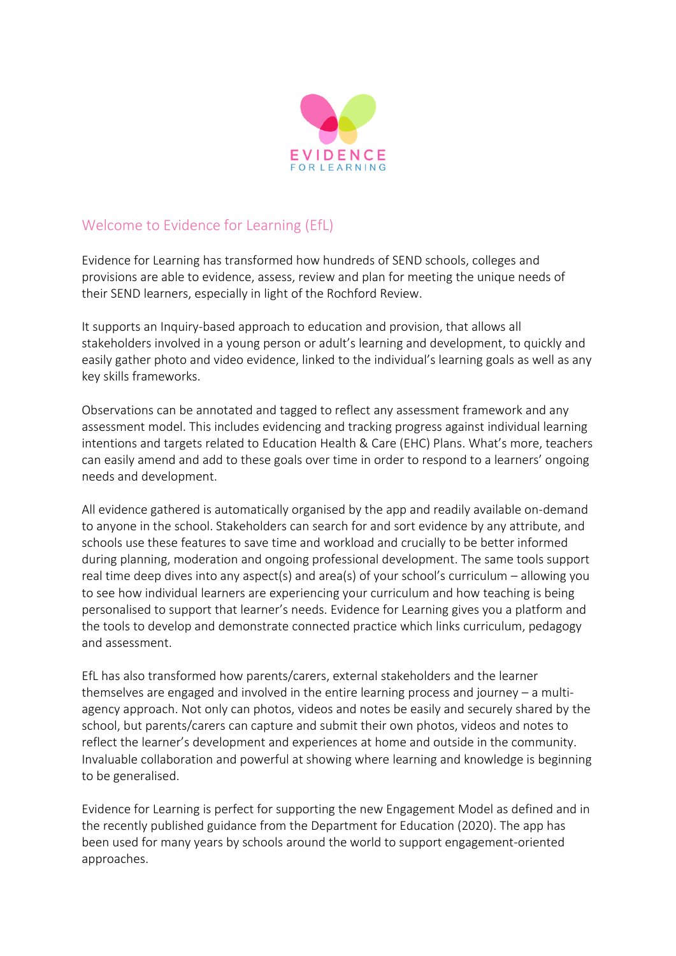

## Welcome to Evidence for Learning (EfL)

Evidence for Learning has transformed how hundreds of SEND schools, colleges and provisions are able to evidence, assess, review and plan for meeting the unique needs of their SEND learners, especially in light of the Rochford Review.

It supports an Inquiry-based approach to education and provision, that allows all stakeholders involved in a young person or adult's learning and development, to quickly and easily gather photo and video evidence, linked to the individual's learning goals as well as any key skills frameworks.

Observations can be annotated and tagged to reflect any assessment framework and any assessment model. This includes evidencing and tracking progress against individual learning intentions and targets related to Education Health & Care (EHC) Plans. What's more, teachers can easily amend and add to these goals over time in order to respond to a learners' ongoing needs and development.

All evidence gathered is automatically organised by the app and readily available on-demand to anyone in the school. Stakeholders can search for and sort evidence by any attribute, and schools use these features to save time and workload and crucially to be better informed during planning, moderation and ongoing professional development. The same tools support real time deep dives into any aspect(s) and area(s) of your school's curriculum – allowing you to see how individual learners are experiencing your curriculum and how teaching is being personalised to support that learner's needs. Evidence for Learning gives you a platform and the tools to develop and demonstrate connected practice which links curriculum, pedagogy and assessment.

EfL has also transformed how parents/carers, external stakeholders and the learner themselves are engaged and involved in the entire learning process and journey – a multiagency approach. Not only can photos, videos and notes be easily and securely shared by the school, but parents/carers can capture and submit their own photos, videos and notes to reflect the learner's development and experiences at home and outside in the community. Invaluable collaboration and powerful at showing where learning and knowledge is beginning to be generalised.

Evidence for Learning is perfect for supporting the new Engagement Model as defined and in the recently published guidance from the Department for Education (2020). The app has been used for many years by schools around the world to support engagement-oriented approaches.